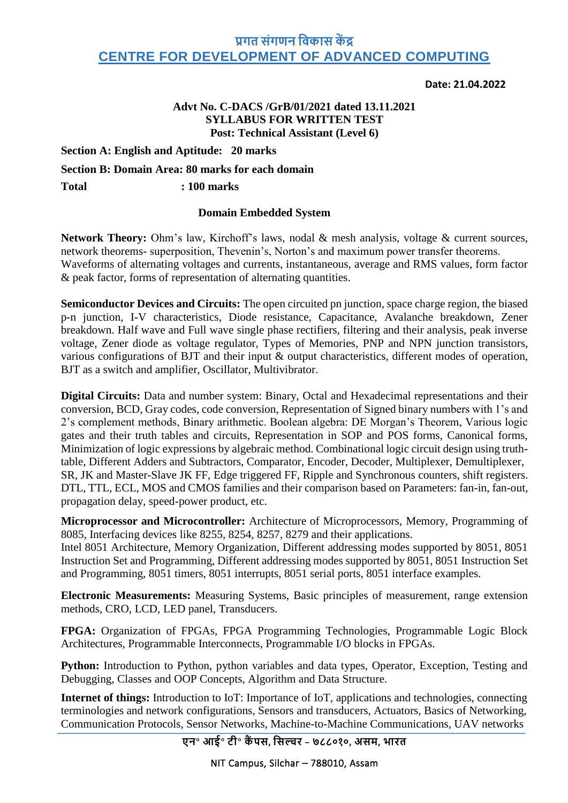## **प्रगत संगणन विकास कें द्र CENTRE FOR DEVELOPMENT OF ADVANCED COMPUTING**

#### **Date: 21.04.2022**

## **Advt No. C-DACS /GrB/01/2021 dated 13.11.2021 SYLLABUS FOR WRITTEN TEST Post: Technical Assistant (Level 6)**

**Section A: English and Aptitude: 20 marks**

**Section B: Domain Area: 80 marks for each domain**

**Total : 100 marks**

### **Domain Embedded System**

**Network Theory:** Ohm's law, Kirchoff's laws, nodal & mesh analysis, voltage & current sources, network theorems- superposition, Thevenin's, Norton's and maximum power transfer theorems. Waveforms of alternating voltages and currents, instantaneous, average and RMS values, form factor & peak factor, forms of representation of alternating quantities.

**Semiconductor Devices and Circuits:** The open circuited pn junction, space charge region, the biased p-n junction, I-V characteristics, Diode resistance, Capacitance, Avalanche breakdown, Zener breakdown. Half wave and Full wave single phase rectifiers, filtering and their analysis, peak inverse voltage, Zener diode as voltage regulator, Types of Memories, PNP and NPN junction transistors, various configurations of BJT and their input & output characteristics, different modes of operation, BJT as a switch and amplifier, Oscillator, Multivibrator.

**Digital Circuits:** Data and number system: Binary, Octal and Hexadecimal representations and their conversion, BCD, Gray codes, code conversion, Representation of Signed binary numbers with 1's and 2's complement methods, Binary arithmetic. Boolean algebra: DE Morgan's Theorem, Various logic gates and their truth tables and circuits, Representation in SOP and POS forms, Canonical forms, Minimization of logic expressions by algebraic method. Combinational logic circuit design using truthtable, Different Adders and Subtractors, Comparator, Encoder, Decoder, Multiplexer, Demultiplexer, SR, JK and Master-Slave JK FF, Edge triggered FF, Ripple and Synchronous counters, shift registers. DTL, TTL, ECL, MOS and CMOS families and their comparison based on Parameters: fan-in, fan-out, propagation delay, speed-power product, etc.

**Microprocessor and Microcontroller:** Architecture of Microprocessors, Memory, Programming of 8085, Interfacing devices like 8255, 8254, 8257, 8279 and their applications.

Intel 8051 Architecture, Memory Organization, Different addressing modes supported by 8051, 8051 Instruction Set and Programming, Different addressing modes supported by 8051, 8051 Instruction Set and Programming, 8051 timers, 8051 interrupts, 8051 serial ports, 8051 interface examples.

**Electronic Measurements:** Measuring Systems, Basic principles of measurement, range extension methods, CRO, LCD, LED panel, Transducers.

**FPGA:** Organization of FPGAs, FPGA Programming Technologies, Programmable Logic Block Architectures, Programmable Interconnects, Programmable I/O blocks in FPGAs.

Python: Introduction to Python, python variables and data types, Operator, Exception, Testing and Debugging, Classes and OOP Concepts, Algorithm and Data Structure.

**Internet of things:** Introduction to IoT: Importance of IoT, applications and technologies, connecting terminologies and network configurations, Sensors and transducers, Actuators, Basics of Networking, Communication Protocols, Sensor Networks, Machine-to-Machine Communications, UAV networks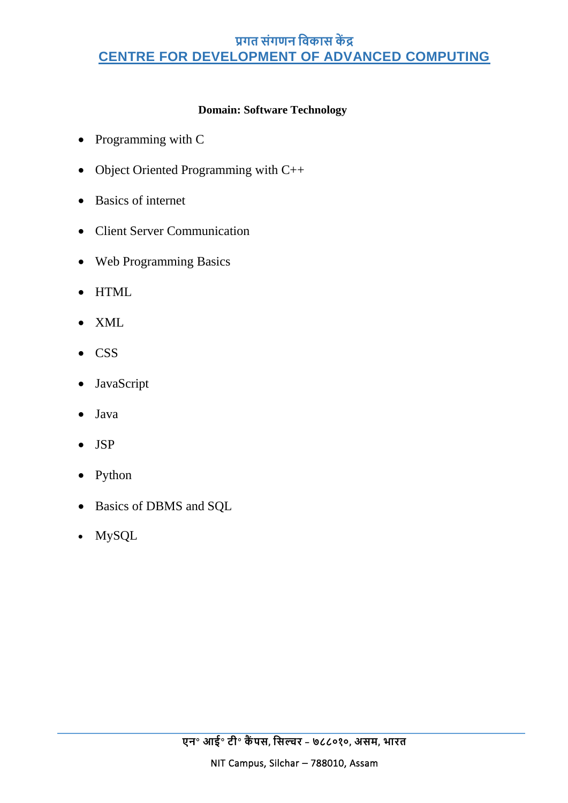# **प्रगत संगणन विकास कें द्र CENTRE FOR DEVELOPMENT OF ADVANCED COMPUTING**

## **Domain: Software Technology**

- Programming with C
- Object Oriented Programming with C++
- Basics of internet
- Client Server Communication
- Web Programming Basics
- HTML
- XML
- CSS
- JavaScript
- Java
- JSP
- Python
- Basics of DBMS and SQL
- MySQL